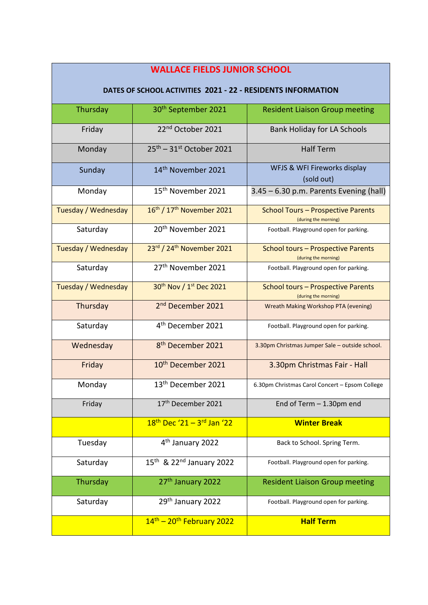## **WALLACE FIELDS JUNIOR SCHOOL**

## **DATES OF SCHOOL ACTIVITIES 2021 - 22 - RESIDENTS INFORMATION**

| Thursday                   | 30 <sup>th</sup> September 2021                    | <b>Resident Liaison Group meeting</b>                             |
|----------------------------|----------------------------------------------------|-------------------------------------------------------------------|
| Friday                     | 22 <sup>nd</sup> October 2021                      | <b>Bank Holiday for LA Schools</b>                                |
| Monday                     | $25th - 31st$ October 2021                         | <b>Half Term</b>                                                  |
| Sunday                     | 14 <sup>th</sup> November 2021                     | WFJS & WFI Fireworks display<br>(sold out)                        |
| Monday                     | 15 <sup>th</sup> November 2021                     | $3.45 - 6.30$ p.m. Parents Evening (hall)                         |
| Tuesday / Wednesday        | 16th / 17th November 2021                          | <b>School Tours - Prospective Parents</b><br>(during the morning) |
| Saturday                   | 20 <sup>th</sup> November 2021                     | Football. Playground open for parking.                            |
| <b>Tuesday / Wednesday</b> | 23rd / 24th November 2021                          | <b>School tours - Prospective Parents</b><br>(during the morning) |
| Saturday                   | 27 <sup>th</sup> November 2021                     | Football. Playground open for parking.                            |
| Tuesday / Wednesday        | 30 <sup>th</sup> Nov / 1 <sup>st</sup> Dec 2021    | <b>School tours - Prospective Parents</b><br>(during the morning) |
| Thursday                   | 2 <sup>nd</sup> December 2021                      | Wreath Making Workshop PTA (evening)                              |
| Saturday                   | 4 <sup>th</sup> December 2021                      | Football. Playground open for parking.                            |
| Wednesday                  | 8 <sup>th</sup> December 2021                      | 3.30pm Christmas Jumper Sale - outside school.                    |
| Friday                     | 10 <sup>th</sup> December 2021                     | 3.30pm Christmas Fair - Hall                                      |
| Monday                     | 13 <sup>th</sup> December 2021                     | 6.30pm Christmas Carol Concert - Epsom College                    |
| Friday                     | 17 <sup>th</sup> December 2021                     | End of Term $-1.30$ pm end                                        |
|                            | 18 <sup>th</sup> Dec '21 - 3 <sup>rd</sup> Jan '22 | <b>Winter Break</b>                                               |
| Tuesday                    | 4 <sup>th</sup> January 2022                       | Back to School. Spring Term.                                      |
| Saturday                   | 15 <sup>th</sup> & 22 <sup>nd</sup> January 2022   | Football. Playground open for parking.                            |
| Thursday                   | 27 <sup>th</sup> January 2022                      | <b>Resident Liaison Group meeting</b>                             |
| Saturday                   | 29th January 2022                                  | Football. Playground open for parking.                            |
|                            | $14th - 20th$ February 2022                        | <b>Half Term</b>                                                  |